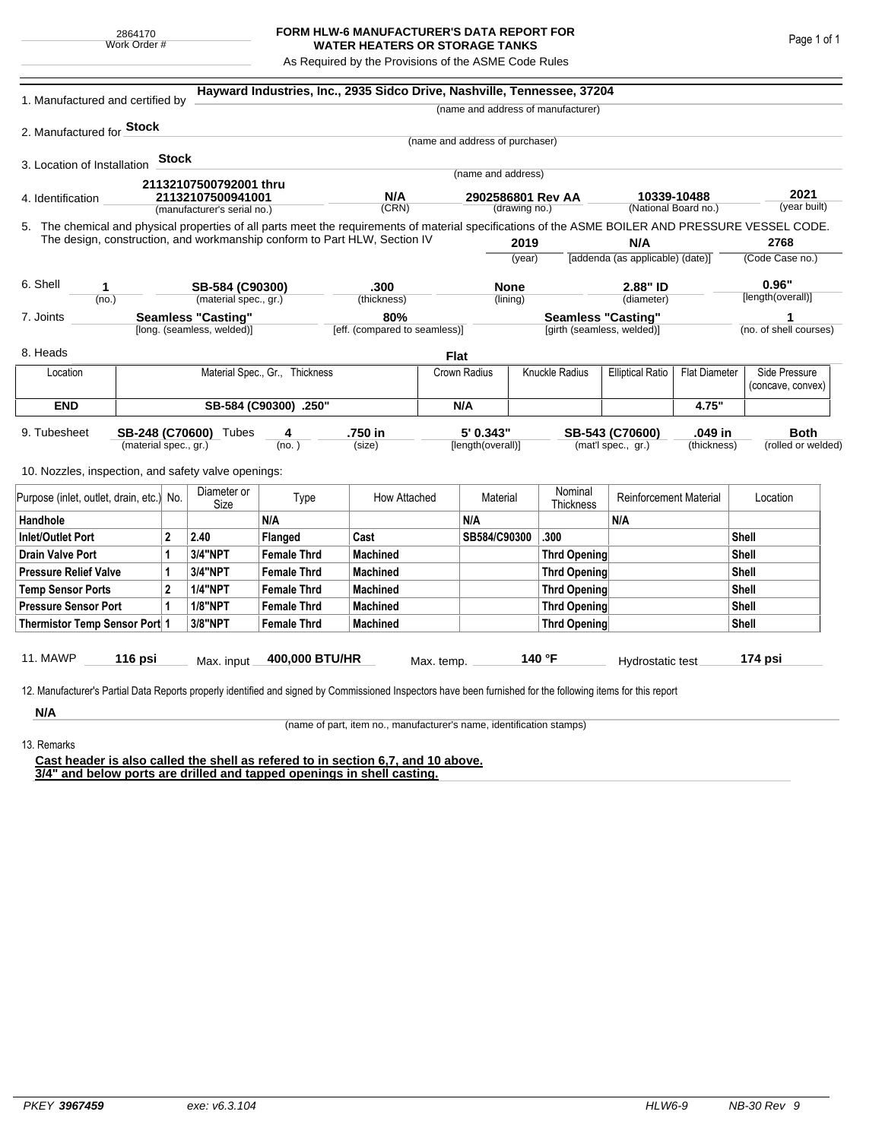## **FORM HLW-6 MANUFACTURER'S DATA REPORT FOR WATER HEATERS OR STORAGE TANKS**

As Required by the Provisions of the ASME Code Rules

| 1. Manufactured and certified by                                                                                                                              |                                |              |                             |                    | Hayward Industries, Inc., 2935 Sidco Drive, Nashville, Tennessee, 37204   |             |                                 |                |                                    |                                                 |             |                   |                                    |
|---------------------------------------------------------------------------------------------------------------------------------------------------------------|--------------------------------|--------------|-----------------------------|--------------------|---------------------------------------------------------------------------|-------------|---------------------------------|----------------|------------------------------------|-------------------------------------------------|-------------|-------------------|------------------------------------|
|                                                                                                                                                               |                                |              |                             |                    |                                                                           |             |                                 |                | (name and address of manufacturer) |                                                 |             |                   |                                    |
| 2. Manufactured for Stock                                                                                                                                     |                                |              |                             |                    |                                                                           |             |                                 |                |                                    |                                                 |             |                   |                                    |
|                                                                                                                                                               |                                |              |                             |                    |                                                                           |             | (name and address of purchaser) |                |                                    |                                                 |             |                   |                                    |
| 3. Location of Installation                                                                                                                                   |                                | <b>Stock</b> |                             |                    |                                                                           |             |                                 |                |                                    |                                                 |             |                   |                                    |
|                                                                                                                                                               |                                |              | 21132107500792001 thru      |                    |                                                                           |             | (name and address)              |                |                                    |                                                 |             |                   |                                    |
| 4. Identification                                                                                                                                             |                                |              | 21132107500941001           |                    | N/A                                                                       |             | 2902586801 Rev AA               |                |                                    |                                                 | 10339-10488 |                   | 2021<br>(year built)               |
|                                                                                                                                                               |                                |              | (manufacturer's serial no.) |                    | (CRN)                                                                     |             |                                 | (drawing no.)  |                                    | (National Board no.)                            |             |                   |                                    |
| 5. The chemical and physical properties of all parts meet the requirements of material specifications of the ASME BOILER AND PRESSURE VESSEL CODE.            |                                |              |                             |                    | The design, construction, and workmanship conform to Part HLW, Section IV |             |                                 |                |                                    |                                                 |             |                   | 2768                               |
|                                                                                                                                                               |                                |              |                             |                    |                                                                           |             |                                 | 2019<br>(year) |                                    | N/A<br>[addenda (as applicable) (date)]         |             | (Code Case no.)   |                                    |
|                                                                                                                                                               |                                |              |                             |                    |                                                                           |             |                                 |                |                                    |                                                 |             |                   |                                    |
| 6. Shell<br>1                                                                                                                                                 |                                |              | SB-584 (C90300)             |                    | .300                                                                      |             | <b>None</b>                     |                | 2.88" ID                           |                                                 |             | 0.96"             |                                    |
| (no.)                                                                                                                                                         |                                |              | (material spec., gr.)       |                    | (thickness)                                                               |             |                                 | (lining)       |                                    | (diameter)                                      |             | [length(overall)] |                                    |
| 7. Joints                                                                                                                                                     |                                |              | <b>Seamless "Casting"</b>   |                    | 80%                                                                       |             |                                 |                | <b>Seamless "Casting"</b>          |                                                 |             | 1                 |                                    |
|                                                                                                                                                               |                                |              | [long. (seamless, welded)]  |                    | [eff. (compared to seamless)]                                             |             |                                 |                | [girth (seamless, welded)]         |                                                 |             |                   | (no. of shell courses)             |
| 8. Heads                                                                                                                                                      |                                |              |                             |                    |                                                                           | <b>Flat</b> |                                 |                |                                    |                                                 |             |                   |                                    |
| Location                                                                                                                                                      | Material Spec., Gr., Thickness |              |                             |                    |                                                                           |             | Crown Radius                    |                | Knuckle Radius                     | <b>Flat Diameter</b><br><b>Elliptical Ratio</b> |             |                   | Side Pressure<br>(concave, convex) |
| <b>END</b>                                                                                                                                                    | SB-584 (C90300) .250"          |              |                             |                    |                                                                           |             | N/A                             |                |                                    | 4.75"                                           |             |                   |                                    |
|                                                                                                                                                               |                                |              |                             |                    |                                                                           |             |                                 |                |                                    |                                                 |             |                   |                                    |
| 9. Tubesheet                                                                                                                                                  |                                |              | SB-248 (C70600) Tubes       | 4                  | .750 in                                                                   |             | 5' 0.343"                       |                |                                    | SB-543 (C70600)                                 | .049 in     |                   | <b>Both</b>                        |
|                                                                                                                                                               | (material spec., gr.)          |              |                             | (no. )             | (size)                                                                    |             | [length(overall)]               |                |                                    | (mat'l spec., gr.)                              | (thickness) |                   | (rolled or welded)                 |
| 10. Nozzles, inspection, and safety valve openings:                                                                                                           |                                |              |                             |                    |                                                                           |             |                                 |                |                                    |                                                 |             |                   |                                    |
| Purpose (inlet, outlet, drain, etc.) No.                                                                                                                      |                                |              | Diameter or<br>Size         | Type               | How Attached                                                              |             | Material                        |                | Nominal<br><b>Thickness</b>        | <b>Reinforcement Material</b>                   |             | Location          |                                    |
| Handhole                                                                                                                                                      |                                |              |                             | N/A                |                                                                           |             | N/A                             |                |                                    | N/A                                             |             |                   |                                    |
| $\overline{2}$<br><b>Inlet/Outlet Port</b>                                                                                                                    |                                |              | 2.40                        | Flanged            | Cast                                                                      |             | SB584/C90300                    |                | .300                               |                                                 |             | Shell             |                                    |
| Drain Valve Port<br>1                                                                                                                                         |                                |              | 3/4"NPT                     | <b>Female Thrd</b> | <b>Machined</b>                                                           |             |                                 |                | Thrd Opening                       |                                                 |             | Shell             |                                    |
| <b>Pressure Relief Valve</b><br>1                                                                                                                             |                                |              | 3/4"NPT                     | <b>Female Thrd</b> | <b>Machined</b>                                                           |             |                                 |                | Thrd Opening                       |                                                 |             | <b>Shell</b>      |                                    |
| $\overline{2}$<br><b>Temp Sensor Ports</b>                                                                                                                    |                                |              | <b>1/4"NPT</b>              | <b>Female Thrd</b> | <b>Machined</b>                                                           |             |                                 |                | Thrd Opening                       |                                                 |             | <b>Shell</b>      |                                    |
| <b>Pressure Sensor Port</b><br>1                                                                                                                              |                                |              | <b>1/8"NPT</b>              | <b>Female Thrd</b> | <b>Machined</b>                                                           |             |                                 |                | Thrd Opening                       |                                                 |             | Shell             |                                    |
| Thermistor Temp Sensor Port 1                                                                                                                                 |                                |              | 3/8"NPT                     | <b>Female Thrd</b> | <b>Machined</b>                                                           |             |                                 |                | Thrd Opening                       |                                                 |             | Shell             |                                    |
| 11. MAWP                                                                                                                                                      | $116$ psi                      |              | Max. input                  | 400,000 BTU/HR     |                                                                           | Max. temp.  |                                 |                | 140 °F                             | Hydrostatic test                                |             |                   | 174 psi                            |
|                                                                                                                                                               |                                |              |                             |                    |                                                                           |             |                                 |                |                                    |                                                 |             |                   |                                    |
| 12. Manufacturer's Partial Data Reports properly identified and signed by Commissioned Inspectors have been furnished for the following items for this report |                                |              |                             |                    |                                                                           |             |                                 |                |                                    |                                                 |             |                   |                                    |
| N/A                                                                                                                                                           |                                |              |                             |                    |                                                                           |             |                                 |                |                                    |                                                 |             |                   |                                    |

(name of part, item no., manufacturer's name, identification stamps)

13. Remarks

**Cast header is also called the shell as refered to in section 6,7, and 10 above. 3/4" and below ports are drilled and tapped openings in shell casting.**